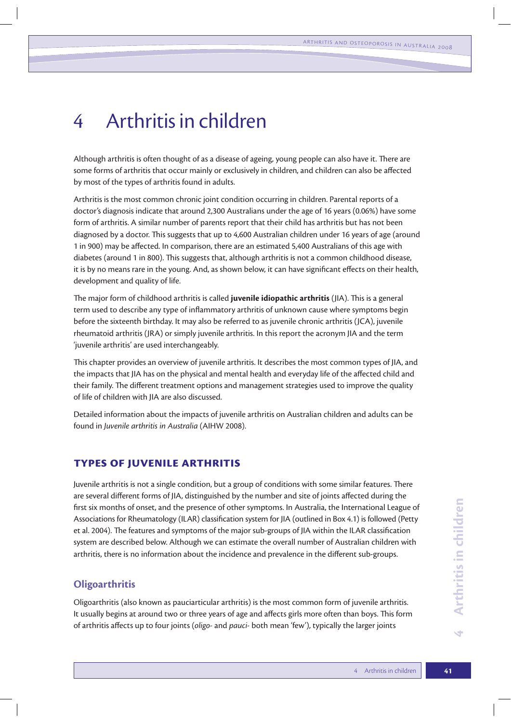# 4 Arthritis in children

Although arthritis is often thought of as a disease of ageing, young people can also have it. There are some forms of arthritis that occur mainly or exclusively in children, and children can also be affected by most of the types of arthritis found in adults.

Arthritis is the most common chronic joint condition occurring in children. Parental reports of a doctor's diagnosis indicate that around 2,300 Australians under the age of 16 years (0.06%) have some form of arthritis. A similar number of parents report that their child has arthritis but has not been diagnosed by a doctor. This suggests that up to 4,600 Australian children under 16 years of age (around 1 in 900) may be affected. In comparison, there are an estimated 5,400 Australians of this age with diabetes (around 1 in 800). This suggests that, although arthritis is not a common childhood disease, it is by no means rare in the young. And, as shown below, it can have significant effects on their health, development and quality of life.

The major form of childhood arthritis is called **juvenile idiopathic arthritis** (JIA). This is a general term used to describe any type of inflammatory arthritis of unknown cause where symptoms begin before the sixteenth birthday. It may also be referred to as juvenile chronic arthritis (JCA), juvenile rheumatoid arthritis (JRA) or simply juvenile arthritis. In this report the acronym JIA and the term 'juvenile arthritis' are used interchangeably.

This chapter provides an overview of juvenile arthritis. It describes the most common types of JIA, and the impacts that JIA has on the physical and mental health and everyday life of the affected child and their family. The different treatment options and management strategies used to improve the quality of life of children with JIA are also discussed.

Detailed information about the impacts of juvenile arthritis on Australian children and adults can be found in *Juvenile arthritis in Australia* (AIHW 2008).

# **Types of juvenile arthritis**

Juvenile arthritis is not a single condition, but a group of conditions with some similar features. There are several different forms of JIA, distinguished by the number and site of joints affected during the first six months of onset, and the presence of other symptoms. In Australia, the International League of Associations for Rheumatology (ILAR) classification system for JIA (outlined in Box 4.1) is followed (Petty et al. 2004). The features and symptoms of the major sub-groups of JIA within the ILAR classification system are described below. Although we can estimate the overall number of Australian children with arthritis, there is no information about the incidence and prevalence in the different sub-groups.

## **Oligoarthritis**

Oligoarthritis (also known as pauciarticular arthritis) is the most common form of juvenile arthritis. It usually begins at around two or three years of age and affects girls more often than boys. This form of arthritis affects up to four joints (*oligo-* and *pauci-* both mean 'few'), typically the larger joints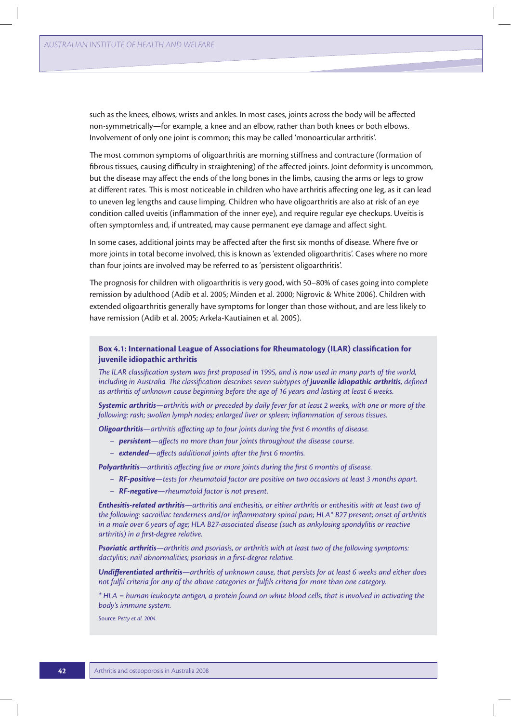such as the knees, elbows, wrists and ankles. In most cases, joints across the body will be affected non-symmetrically—for example, a knee and an elbow, rather than both knees or both elbows. Involvement of only one joint is common; this may be called 'monoarticular arthritis'.

The most common symptoms of oligoarthritis are morning stiffness and contracture (formation of fibrous tissues, causing difficulty in straightening) of the affected joints. Joint deformity is uncommon, but the disease may affect the ends of the long bones in the limbs, causing the arms or legs to grow at different rates. This is most noticeable in children who have arthritis affecting one leg, as it can lead to uneven leg lengths and cause limping. Children who have oligoarthritis are also at risk of an eye condition called uveitis (inflammation of the inner eye), and require regular eye checkups. Uveitis is often symptomless and, if untreated, may cause permanent eye damage and affect sight.

In some cases, additional joints may be affected after the first six months of disease. Where five or more joints in total become involved, this is known as 'extended oligoarthritis'. Cases where no more than four joints are involved may be referred to as 'persistent oligoarthritis'.

The prognosis for children with oligoarthritis is very good, with 50–80% of cases going into complete remission by adulthood (Adib et al. 2005; Minden et al. 2000; Nigrovic & White 2006). Children with extended oligoarthritis generally have symptoms for longer than those without, and are less likely to have remission (Adib et al. 2005; Arkela-Kautiainen et al. 2005).

## **Box 4.1: International League of Associations for Rheumatology (ILAR) classification for juvenile idiopathic arthritis**

*The ILAR classification system was first proposed in 1995, and is now used in many parts of the world, including in Australia. The classification describes seven subtypes of <i>juvenile idiopathic arthritis*, defined *as arthritis of unknown cause beginning before the age of 16 years and lasting at least 6 weeks.*

*Systemic arthritis—arthritis with or preceded by daily fever for at least 2 weeks, with one or more of the following: rash; swollen lymph nodes; enlarged liver or spleen; inflammation of serous tissues.*

*Oligoarthritis—arthritis affecting up to four joints during the first 6 months of disease.*

- *persistent—affects no more than four joints throughout the disease course.*
- *extended—affects additional joints after the first 6 months.*

*Polyarthritis—arthritis affecting five or more joints during the first 6 months of disease.*

- *RF-positive—tests for rheumatoid factor are positive on two occasions at least 3 months apart.*
- *RF-negative—rheumatoid factor is not present.*

*Enthesitis-related arthritis—arthritis and enthesitis, or either arthritis or enthesitis with at least two of the following: sacroiliac tenderness and/or inflammatory spinal pain; HLA\* B27 present; onset of arthritis in a male over 6 years of age; HLA B27-associated disease (such as ankylosing spondylitis or reactive arthritis) in a first-degree relative.*

*Psoriatic arthritis—arthritis and psoriasis, or arthritis with at least two of the following symptoms: dactylitis; nail abnormalities; psoriasis in a first-degree relative.* 

*Undifferentiated arthritis—arthritis of unknown cause, that persists for at least 6 weeks and either does not fulfil criteria for any of the above categories or fulfils criteria for more than one category.*

*\* HLA = human leukocyte antigen, a protein found on white blood cells, that is involved in activating the body's immune system.*

Source: *Petty et al. 2004.*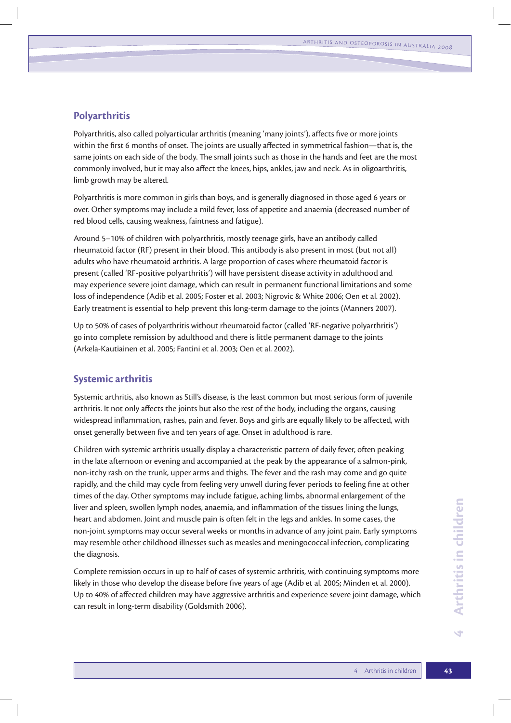# **Polyarthritis**

Polyarthritis, also called polyarticular arthritis (meaning 'many joints'), affects five or more joints within the first 6 months of onset. The joints are usually affected in symmetrical fashion—that is, the same joints on each side of the body. The small joints such as those in the hands and feet are the most commonly involved, but it may also affect the knees, hips, ankles, jaw and neck. As in oligoarthritis, limb growth may be altered.

Polyarthritis is more common in girls than boys, and is generally diagnosed in those aged 6 years or over. Other symptoms may include a mild fever, loss of appetite and anaemia (decreased number of red blood cells, causing weakness, faintness and fatigue).

Around 5–10% of children with polyarthritis, mostly teenage girls, have an antibody called rheumatoid factor (RF) present in their blood. This antibody is also present in most (but not all) adults who have rheumatoid arthritis. A large proportion of cases where rheumatoid factor is present (called 'RF-positive polyarthritis') will have persistent disease activity in adulthood and may experience severe joint damage, which can result in permanent functional limitations and some loss of independence (Adib et al. 2005; Foster et al. 2003; Nigrovic & White 2006; Oen et al. 2002). Early treatment is essential to help prevent this long-term damage to the joints (Manners 2007).

Up to 50% of cases of polyarthritis without rheumatoid factor (called 'RF-negative polyarthritis') go into complete remission by adulthood and there is little permanent damage to the joints (Arkela-Kautiainen et al. 2005; Fantini et al. 2003; Oen et al. 2002).

# **Systemic arthritis**

Systemic arthritis, also known as Still's disease, is the least common but most serious form of juvenile arthritis. It not only affects the joints but also the rest of the body, including the organs, causing widespread inflammation, rashes, pain and fever. Boys and girls are equally likely to be affected, with onset generally between five and ten years of age. Onset in adulthood is rare.

Children with systemic arthritis usually display a characteristic pattern of daily fever, often peaking in the late afternoon or evening and accompanied at the peak by the appearance of a salmon-pink, non-itchy rash on the trunk, upper arms and thighs. The fever and the rash may come and go quite rapidly, and the child may cycle from feeling very unwell during fever periods to feeling fine at other times of the day. Other symptoms may include fatigue, aching limbs, abnormal enlargement of the liver and spleen, swollen lymph nodes, anaemia, and inflammation of the tissues lining the lungs, heart and abdomen. Joint and muscle pain is often felt in the legs and ankles. In some cases, the non-joint symptoms may occur several weeks or months in advance of any joint pain. Early symptoms may resemble other childhood illnesses such as measles and meningococcal infection, complicating the diagnosis.

Complete remission occurs in up to half of cases of systemic arthritis, with continuing symptoms more likely in those who develop the disease before five years of age (Adib et al. 2005; Minden et al. 2000). Up to 40% of affected children may have aggressive arthritis and experience severe joint damage, which can result in long-term disability (Goldsmith 2006).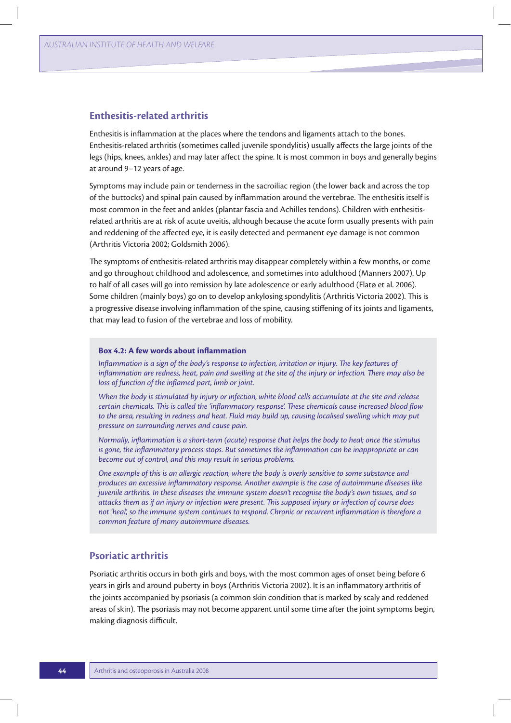## **Enthesitis-related arthritis**

Enthesitis is inflammation at the places where the tendons and ligaments attach to the bones. Enthesitis-related arthritis (sometimes called juvenile spondylitis) usually affects the large joints of the legs (hips, knees, ankles) and may later affect the spine. It is most common in boys and generally begins at around 9–12 years of age.

Symptoms may include pain or tenderness in the sacroiliac region (the lower back and across the top of the buttocks) and spinal pain caused by inflammation around the vertebrae. The enthesitis itself is most common in the feet and ankles (plantar fascia and Achilles tendons). Children with enthesitisrelated arthritis are at risk of acute uveitis, although because the acute form usually presents with pain and reddening of the affected eye, it is easily detected and permanent eye damage is not common (Arthritis Victoria 2002; Goldsmith 2006).

The symptoms of enthesitis-related arthritis may disappear completely within a few months, or come and go throughout childhood and adolescence, and sometimes into adulthood (Manners 2007). Up to half of all cases will go into remission by late adolescence or early adulthood (Flatø et al. 2006). Some children (mainly boys) go on to develop ankylosing spondylitis (Arthritis Victoria 2002). This is a progressive disease involving inflammation of the spine, causing stiffening of its joints and ligaments, that may lead to fusion of the vertebrae and loss of mobility.

#### **Box 4.2: A few words about inflammation**

*Inflammation is a sign of the body's response to infection, irritation or injury. The key features of inflammation are redness, heat, pain and swelling at the site of the injury or infection. There may also be loss of function of the inflamed part, limb or joint.*

*When the body is stimulated by injury or infection, white blood cells accumulate at the site and release certain chemicals. This is called the 'inflammatory response'. These chemicals cause increased blood flow to the area, resulting in redness and heat. Fluid may build up, causing localised swelling which may put pressure on surrounding nerves and cause pain.*

*Normally, inflammation is a short-term (acute) response that helps the body to heal; once the stimulus is gone, the inflammatory process stops. But sometimes the inflammation can be inappropriate or can become out of control, and this may result in serious problems.* 

*One example of this is an allergic reaction, where the body is overly sensitive to some substance and produces an excessive inflammatory response. Another example is the case of autoimmune diseases like juvenile arthritis. In these diseases the immune system doesn't recognise the body's own tissues, and so attacks them as if an injury or infection were present. This supposed injury or infection of course does not 'heal', so the immune system continues to respond. Chronic or recurrent inflammation is therefore a common feature of many autoimmune diseases.*

# **Psoriatic arthritis**

Psoriatic arthritis occurs in both girls and boys, with the most common ages of onset being before 6 years in girls and around puberty in boys (Arthritis Victoria 2002). It is an inflammatory arthritis of the joints accompanied by psoriasis (a common skin condition that is marked by scaly and reddened areas of skin). The psoriasis may not become apparent until some time after the joint symptoms begin, making diagnosis difficult.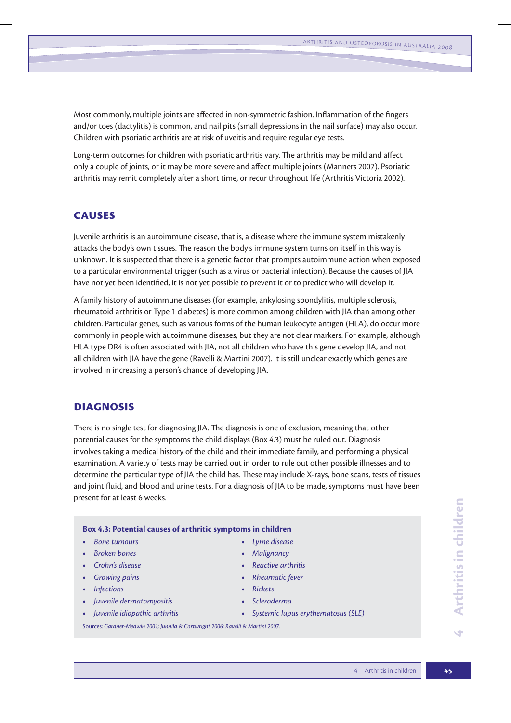Most commonly, multiple joints are affected in non-symmetric fashion. Inflammation of the fingers and/or toes (dactylitis) is common, and nail pits (small depressions in the nail surface) may also occur. Children with psoriatic arthritis are at risk of uveitis and require regular eye tests.

Long-term outcomes for children with psoriatic arthritis vary. The arthritis may be mild and affect only a couple of joints, or it may be more severe and affect multiple joints (Manners 2007). Psoriatic arthritis may remit completely after a short time, or recur throughout life (Arthritis Victoria 2002).

# **Causes**

Juvenile arthritis is an autoimmune disease, that is, a disease where the immune system mistakenly attacks the body's own tissues. The reason the body's immune system turns on itself in this way is unknown. It is suspected that there is a genetic factor that prompts autoimmune action when exposed to a particular environmental trigger (such as a virus or bacterial infection). Because the causes of JIA have not yet been identified, it is not yet possible to prevent it or to predict who will develop it.

A family history of autoimmune diseases (for example, ankylosing spondylitis, multiple sclerosis, rheumatoid arthritis or Type 1 diabetes) is more common among children with JIA than among other children. Particular genes, such as various forms of the human leukocyte antigen (HLA), do occur more commonly in people with autoimmune diseases, but they are not clear markers. For example, although HLA type DR4 is often associated with JIA, not all children who have this gene develop JIA, and not all children with JIA have the gene (Ravelli & Martini 2007). It is still unclear exactly which genes are involved in increasing a person's chance of developing JIA.

## **Diagnosis**

There is no single test for diagnosing JIA. The diagnosis is one of exclusion, meaning that other potential causes for the symptoms the child displays (Box 4.3) must be ruled out. Diagnosis involves taking a medical history of the child and their immediate family, and performing a physical examination. A variety of tests may be carried out in order to rule out other possible illnesses and to determine the particular type of JIA the child has. These may include X-rays, bone scans, tests of tissues and joint fluid, and blood and urine tests. For a diagnosis of JIA to be made, symptoms must have been present for at least 6 weeks.

#### **Box 4.3: Potential causes of arthritic symptoms in children**

- **•** Bone tumours **and the** *Lyme* disease
- **the** *Broken bones* **bones 1 the** *Malignancy* **1 the** *Malignancy*
- 
- 
- 
- **t** *Juvenile dermatomyositis* **t** *Scleroderma*
- 
- 
- **t** *Crohn's disease* **t** *Reactive arthritis*
- **the** *Growing pains* **1999 1999 1999 1999 1999 1999 1999 1999 1999 1999 1999 1999 1999 1999 1999 1999 1999 1999 1999 1999 1999 1999 1999 1999 1999 1999 1999 1999 199**
- **t** *Infections* **t** *Rickets*
	-
- **t** *Juvenile idiopathic arthritis* **t** *Systemic lupus erythematosus (SLE)*

Sources: *Gardner-Medwin 2001; Junnila & Cartwright 2006; Ravelli & Martini 2007.*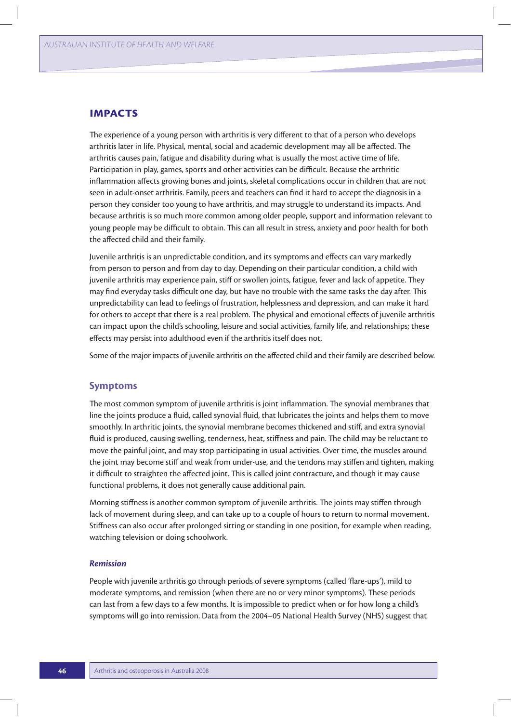## **Impacts**

The experience of a young person with arthritis is very different to that of a person who develops arthritis later in life. Physical, mental, social and academic development may all be affected. The arthritis causes pain, fatigue and disability during what is usually the most active time of life. Participation in play, games, sports and other activities can be difficult. Because the arthritic inflammation affects growing bones and joints, skeletal complications occur in children that are not seen in adult-onset arthritis. Family, peers and teachers can find it hard to accept the diagnosis in a person they consider too young to have arthritis, and may struggle to understand its impacts. And because arthritis is so much more common among older people, support and information relevant to young people may be difficult to obtain. This can all result in stress, anxiety and poor health for both the affected child and their family.

Juvenile arthritis is an unpredictable condition, and its symptoms and effects can vary markedly from person to person and from day to day. Depending on their particular condition, a child with juvenile arthritis may experience pain, stiff or swollen joints, fatigue, fever and lack of appetite. They may find everyday tasks difficult one day, but have no trouble with the same tasks the day after. This unpredictability can lead to feelings of frustration, helplessness and depression, and can make it hard for others to accept that there is a real problem. The physical and emotional effects of juvenile arthritis can impact upon the child's schooling, leisure and social activities, family life, and relationships; these effects may persist into adulthood even if the arthritis itself does not.

Some of the major impacts of juvenile arthritis on the affected child and their family are described below.

#### **Symptoms**

The most common symptom of juvenile arthritis is joint inflammation. The synovial membranes that line the joints produce a fluid, called synovial fluid, that lubricates the joints and helps them to move smoothly. In arthritic joints, the synovial membrane becomes thickened and stiff, and extra synovial fluid is produced, causing swelling, tenderness, heat, stiffness and pain. The child may be reluctant to move the painful joint, and may stop participating in usual activities. Over time, the muscles around the joint may become stiff and weak from under-use, and the tendons may stiffen and tighten, making it difficult to straighten the affected joint. This is called joint contracture, and though it may cause functional problems, it does not generally cause additional pain.

Morning stiffness is another common symptom of juvenile arthritis. The joints may stiffen through lack of movement during sleep, and can take up to a couple of hours to return to normal movement. Stiffness can also occur after prolonged sitting or standing in one position, for example when reading, watching television or doing schoolwork.

#### *Remission*

People with juvenile arthritis go through periods of severe symptoms (called 'flare-ups'), mild to moderate symptoms, and remission (when there are no or very minor symptoms). These periods can last from a few days to a few months. It is impossible to predict when or for how long a child's symptoms will go into remission. Data from the 2004–05 National Health Survey (NHS) suggest that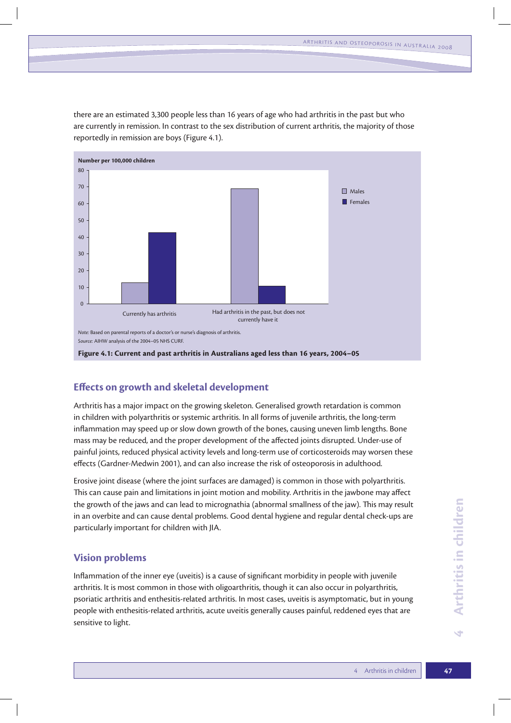there are an estimated 3,300 people less than 16 years of age who had arthritis in the past but who are currently in remission. In contrast to the sex distribution of current arthritis, the majority of those reportedly in remission are boys (Figure 4.1).



# **Effects on growth and skeletal development**

Arthritis has a major impact on the growing skeleton. Generalised growth retardation is common in children with polyarthritis or systemic arthritis. In all forms of juvenile arthritis, the long-term inflammation may speed up or slow down growth of the bones, causing uneven limb lengths. Bone mass may be reduced, and the proper development of the affected joints disrupted. Under-use of painful joints, reduced physical activity levels and long-term use of corticosteroids may worsen these effects (Gardner-Medwin 2001), and can also increase the risk of osteoporosis in adulthood.

Erosive joint disease (where the joint surfaces are damaged) is common in those with polyarthritis. This can cause pain and limitations in joint motion and mobility. Arthritis in the jawbone may affect the growth of the jaws and can lead to micrognathia (abnormal smallness of the jaw). This may result in an overbite and can cause dental problems. Good dental hygiene and regular dental check-ups are particularly important for children with JIA.

# **Vision problems**

Inflammation of the inner eye (uveitis) is a cause of significant morbidity in people with juvenile arthritis. It is most common in those with oligoarthritis, though it can also occur in polyarthritis, psoriatic arthritis and enthesitis-related arthritis. In most cases, uveitis is asymptomatic, but in young people with enthesitis-related arthritis, acute uveitis generally causes painful, reddened eyes that are sensitive to light.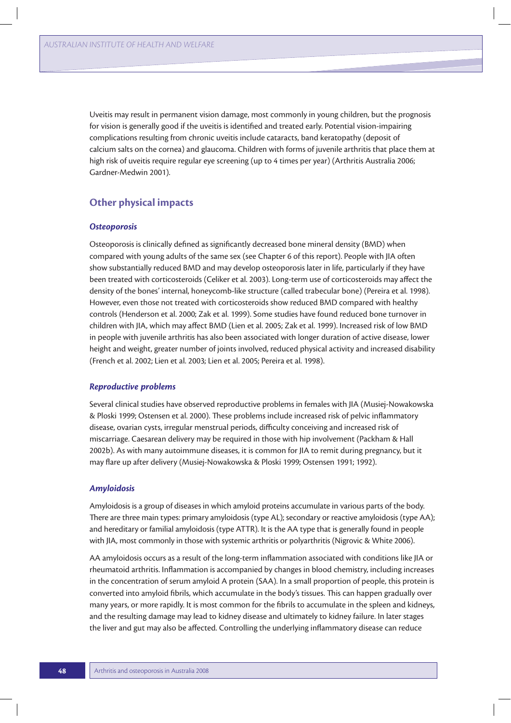Uveitis may result in permanent vision damage, most commonly in young children, but the prognosis for vision is generally good if the uveitis is identified and treated early. Potential vision-impairing complications resulting from chronic uveitis include cataracts, band keratopathy (deposit of calcium salts on the cornea) and glaucoma. Children with forms of juvenile arthritis that place them at high risk of uveitis require regular eye screening (up to 4 times per year) (Arthritis Australia 2006; Gardner-Medwin 2001).

# **Other physical impacts**

#### *Osteoporosis*

Osteoporosis is clinically defined as significantly decreased bone mineral density (BMD) when compared with young adults of the same sex (see Chapter 6 of this report). People with JIA often show substantially reduced BMD and may develop osteoporosis later in life, particularly if they have been treated with corticosteroids (Celiker et al. 2003). Long-term use of corticosteroids may affect the density of the bones' internal, honeycomb-like structure (called trabecular bone) (Pereira et al. 1998). However, even those not treated with corticosteroids show reduced BMD compared with healthy controls (Henderson et al. 2000; Zak et al. 1999). Some studies have found reduced bone turnover in children with JIA, which may affect BMD (Lien et al. 2005; Zak et al. 1999). Increased risk of low BMD in people with juvenile arthritis has also been associated with longer duration of active disease, lower height and weight, greater number of joints involved, reduced physical activity and increased disability (French et al. 2002; Lien et al. 2003; Lien et al. 2005; Pereira et al. 1998).

#### *Reproductive problems*

Several clinical studies have observed reproductive problems in females with JIA (Musiej-Nowakowska & Ploski 1999; Ostensen et al. 2000). These problems include increased risk of pelvic inflammatory disease, ovarian cysts, irregular menstrual periods, difficulty conceiving and increased risk of miscarriage. Caesarean delivery may be required in those with hip involvement (Packham & Hall 2002b). As with many autoimmune diseases, it is common for JIA to remit during pregnancy, but it may flare up after delivery (Musiej-Nowakowska & Ploski 1999; Ostensen 1991; 1992).

#### *Amyloidosis*

Amyloidosis is a group of diseases in which amyloid proteins accumulate in various parts of the body. There are three main types: primary amyloidosis (type AL); secondary or reactive amyloidosis (type AA); and hereditary or familial amyloidosis (type ATTR). It is the AA type that is generally found in people with JIA, most commonly in those with systemic arthritis or polyarthritis (Nigrovic & White 2006).

AA amyloidosis occurs as a result of the long-term inflammation associated with conditions like JIA or rheumatoid arthritis. Inflammation is accompanied by changes in blood chemistry, including increases in the concentration of serum amyloid A protein (SAA). In a small proportion of people, this protein is converted into amyloid fibrils, which accumulate in the body's tissues. This can happen gradually over many years, or more rapidly. It is most common for the fibrils to accumulate in the spleen and kidneys, and the resulting damage may lead to kidney disease and ultimately to kidney failure. In later stages the liver and gut may also be affected. Controlling the underlying inflammatory disease can reduce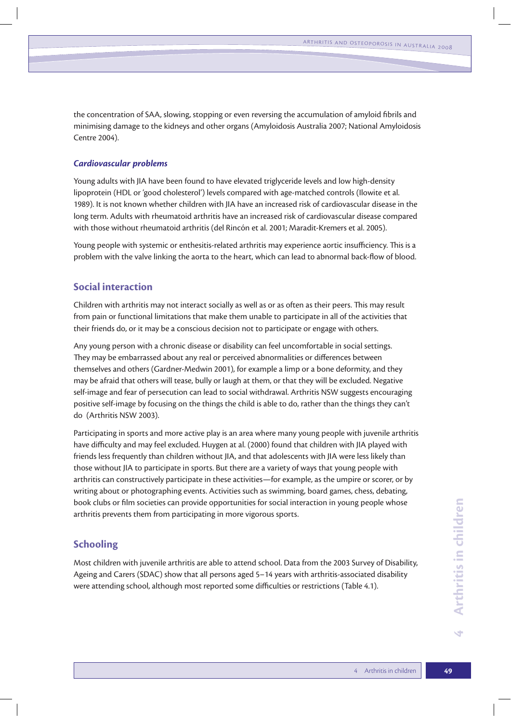the concentration of SAA, slowing, stopping or even reversing the accumulation of amyloid fibrils and minimising damage to the kidneys and other organs (Amyloidosis Australia 2007; National Amyloidosis Centre 2004).

#### *Cardiovascular problems*

Young adults with JIA have been found to have elevated triglyceride levels and low high-density lipoprotein (HDL or 'good cholesterol') levels compared with age-matched controls (Ilowite et al. 1989). It is not known whether children with JIA have an increased risk of cardiovascular disease in the long term. Adults with rheumatoid arthritis have an increased risk of cardiovascular disease compared with those without rheumatoid arthritis (del Rincón et al. 2001; Maradit-Kremers et al. 2005).

Young people with systemic or enthesitis-related arthritis may experience aortic insufficiency. This is a problem with the valve linking the aorta to the heart, which can lead to abnormal back-flow of blood.

## **Social interaction**

Children with arthritis may not interact socially as well as or as often as their peers. This may result from pain or functional limitations that make them unable to participate in all of the activities that their friends do, or it may be a conscious decision not to participate or engage with others.

Any young person with a chronic disease or disability can feel uncomfortable in social settings. They may be embarrassed about any real or perceived abnormalities or differences between themselves and others (Gardner-Medwin 2001), for example a limp or a bone deformity, and they may be afraid that others will tease, bully or laugh at them, or that they will be excluded. Negative self-image and fear of persecution can lead to social withdrawal. Arthritis NSW suggests encouraging positive self-image by focusing on the things the child is able to do, rather than the things they can't do (Arthritis NSW 2003).

Participating in sports and more active play is an area where many young people with juvenile arthritis have difficulty and may feel excluded. Huygen at al. (2000) found that children with JIA played with friends less frequently than children without JIA, and that adolescents with JIA were less likely than those without JIA to participate in sports. But there are a variety of ways that young people with arthritis can constructively participate in these activities—for example, as the umpire or scorer, or by writing about or photographing events. Activities such as swimming, board games, chess, debating, book clubs or film societies can provide opportunities for social interaction in young people whose arthritis prevents them from participating in more vigorous sports.

## **Schooling**

Most children with juvenile arthritis are able to attend school. Data from the 2003 Survey of Disability, Ageing and Carers (SDAC) show that all persons aged 5–14 years with arthritis-associated disability were attending school, although most reported some difficulties or restrictions (Table 4.1).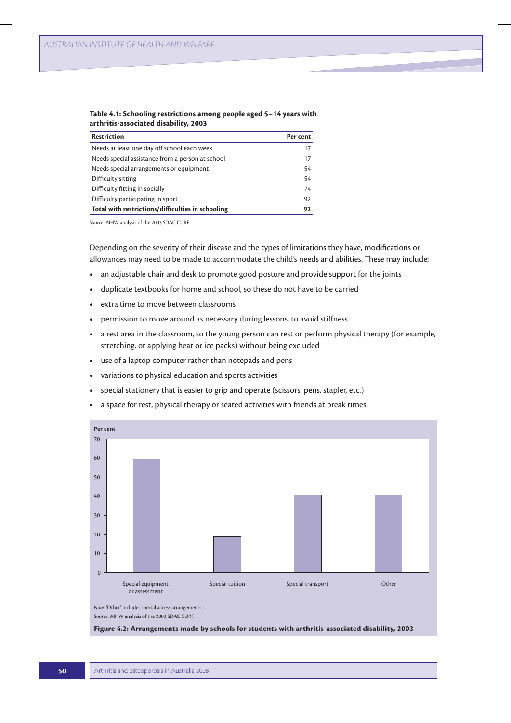| <b>Restriction</b>                                | Per cent |
|---------------------------------------------------|----------|
| Needs at least one day off school each week       | 17       |
| Needs special assistance from a person at school  | 17       |
| Needs special arrangements or equipment           | 54       |
| Difficulty sitting                                | 54       |
| Difficulty fitting in socially                    | 74       |
| Difficulty participating in sport                 | 92       |
| Total with restrictions/difficulties in schooling | 92       |

#### **Table 4.1: Schooling restrictions among people aged 5–14 years with arthritis-associated disability, 2003**

*Source:* AIHW analysis of the 2003 SDAC CURF.

Depending on the severity of their disease and the types of limitations they have, modifications or allowances may need to be made to accommodate the child's needs and abilities. These may include:

- an adjustable chair and desk to promote good posture and provide support for the joints
- **t** duplicate textbooks for home and school, so these do not have to be carried
- extra time to move between classrooms
- **•** permission to move around as necessary during lessons, to avoid stiffness
- **t** a rest area in the classroom, so the young person can rest or perform physical therapy (for example, stretching, or applying heat or ice packs) without being excluded
- **t** use of a laptop computer rather than notepads and pens
- variations to physical education and sports activities
- **•** special stationery that is easier to grip and operate (scissors, pens, stapler, etc.)
- **t** a space for rest, physical therapy or seated activities with friends at break times.



*Source:* AIHW analysis of the 2003 SDAC CURF.

**Figure 4.2: Arrangements made by schools for students with arthritis-associated disability, 2003**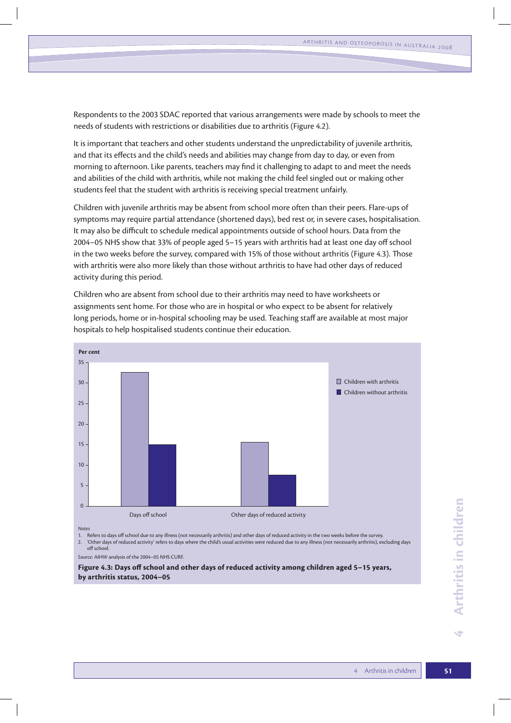Respondents to the 2003 SDAC reported that various arrangements were made by schools to meet the needs of students with restrictions or disabilities due to arthritis (Figure 4.2).

It is important that teachers and other students understand the unpredictability of juvenile arthritis, and that its effects and the child's needs and abilities may change from day to day, or even from morning to afternoon. Like parents, teachers may find it challenging to adapt to and meet the needs and abilities of the child with arthritis, while not making the child feel singled out or making other students feel that the student with arthritis is receiving special treatment unfairly.

Children with juvenile arthritis may be absent from school more often than their peers. Flare-ups of symptoms may require partial attendance (shortened days), bed rest or, in severe cases, hospitalisation. It may also be difficult to schedule medical appointments outside of school hours. Data from the 2004–05 NHS show that 33% of people aged 5–15 years with arthritis had at least one day off school in the two weeks before the survey, compared with 15% of those without arthritis (Figure 4.3). Those with arthritis were also more likely than those without arthritis to have had other days of reduced activity during this period.

Children who are absent from school due to their arthritis may need to have worksheets or assignments sent home. For those who are in hospital or who expect to be absent for relatively long periods, home or in-hospital schooling may be used. Teaching staff are available at most major hospitals to help hospitalised students continue their education.



*Notes*

1. Refers to days off school due to any illness (not necessarily arthritis) and other days of reduced activity in the two weeks before the survey.

2. 'Other days of reduced activity' refers to days where the child's usual activities were reduced due to any illness (not necessarily arthritis), excluding days off school.

*Source:* AIHW analysis of the 2004–05 NHS CURF.

**Figure 4.3: Days off school and other days of reduced activity among children aged 5–15 years, by arthritis status, 2004–05**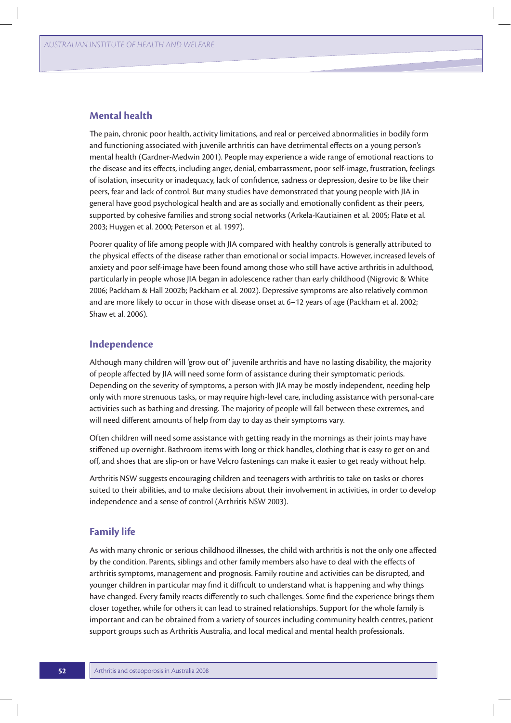## **Mental health**

The pain, chronic poor health, activity limitations, and real or perceived abnormalities in bodily form and functioning associated with juvenile arthritis can have detrimental effects on a young person's mental health (Gardner-Medwin 2001). People may experience a wide range of emotional reactions to the disease and its effects, including anger, denial, embarrassment, poor self-image, frustration, feelings of isolation, insecurity or inadequacy, lack of confidence, sadness or depression, desire to be like their peers, fear and lack of control. But many studies have demonstrated that young people with JIA in general have good psychological health and are as socially and emotionally confident as their peers, supported by cohesive families and strong social networks (Arkela-Kautiainen et al. 2005; Flatø et al. 2003; Huygen et al. 2000; Peterson et al. 1997).

Poorer quality of life among people with JIA compared with healthy controls is generally attributed to the physical effects of the disease rather than emotional or social impacts. However, increased levels of anxiety and poor self-image have been found among those who still have active arthritis in adulthood, particularly in people whose JIA began in adolescence rather than early childhood (Nigrovic & White 2006; Packham & Hall 2002b; Packham et al. 2002). Depressive symptoms are also relatively common and are more likely to occur in those with disease onset at 6–12 years of age (Packham et al. 2002; Shaw et al. 2006).

## **Independence**

Although many children will 'grow out of' juvenile arthritis and have no lasting disability, the majority of people affected by JIA will need some form of assistance during their symptomatic periods. Depending on the severity of symptoms, a person with JIA may be mostly independent, needing help only with more strenuous tasks, or may require high-level care, including assistance with personal-care activities such as bathing and dressing. The majority of people will fall between these extremes, and will need different amounts of help from day to day as their symptoms vary.

Often children will need some assistance with getting ready in the mornings as their joints may have stiffened up overnight. Bathroom items with long or thick handles, clothing that is easy to get on and off, and shoes that are slip-on or have Velcro fastenings can make it easier to get ready without help.

Arthritis NSW suggests encouraging children and teenagers with arthritis to take on tasks or chores suited to their abilities, and to make decisions about their involvement in activities, in order to develop independence and a sense of control (Arthritis NSW 2003).

## **Family life**

As with many chronic or serious childhood illnesses, the child with arthritis is not the only one affected by the condition. Parents, siblings and other family members also have to deal with the effects of arthritis symptoms, management and prognosis. Family routine and activities can be disrupted, and younger children in particular may find it difficult to understand what is happening and why things have changed. Every family reacts differently to such challenges. Some find the experience brings them closer together, while for others it can lead to strained relationships. Support for the whole family is important and can be obtained from a variety of sources including community health centres, patient support groups such as Arthritis Australia, and local medical and mental health professionals.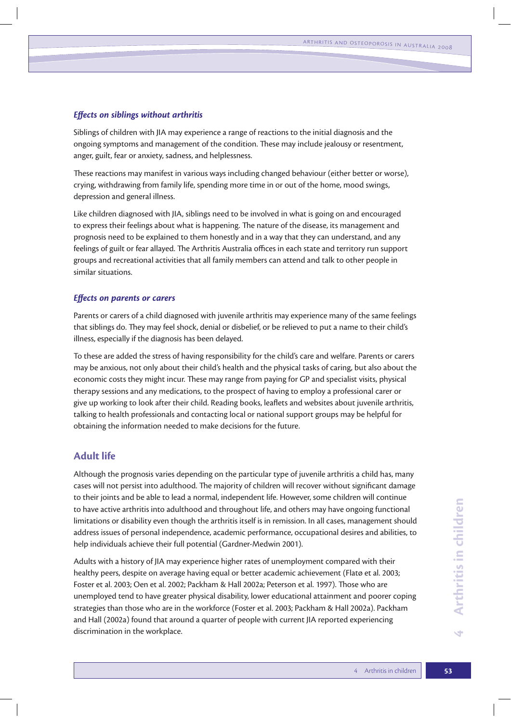#### *Effects on siblings without arthritis*

Siblings of children with JIA may experience a range of reactions to the initial diagnosis and the ongoing symptoms and management of the condition. These may include jealousy or resentment, anger, guilt, fear or anxiety, sadness, and helplessness.

These reactions may manifest in various ways including changed behaviour (either better or worse), crying, withdrawing from family life, spending more time in or out of the home, mood swings, depression and general illness.

Like children diagnosed with JIA, siblings need to be involved in what is going on and encouraged to express their feelings about what is happening. The nature of the disease, its management and prognosis need to be explained to them honestly and in a way that they can understand, and any feelings of guilt or fear allayed. The Arthritis Australia offices in each state and territory run support groups and recreational activities that all family members can attend and talk to other people in similar situations.

#### *Effects on parents or carers*

Parents or carers of a child diagnosed with juvenile arthritis may experience many of the same feelings that siblings do. They may feel shock, denial or disbelief, or be relieved to put a name to their child's illness, especially if the diagnosis has been delayed.

To these are added the stress of having responsibility for the child's care and welfare. Parents or carers may be anxious, not only about their child's health and the physical tasks of caring, but also about the economic costs they might incur. These may range from paying for GP and specialist visits, physical therapy sessions and any medications, to the prospect of having to employ a professional carer or give up working to look after their child. Reading books, leaflets and websites about juvenile arthritis, talking to health professionals and contacting local or national support groups may be helpful for obtaining the information needed to make decisions for the future.

## **Adult life**

Although the prognosis varies depending on the particular type of juvenile arthritis a child has, many cases will not persist into adulthood. The majority of children will recover without significant damage to their joints and be able to lead a normal, independent life. However, some children will continue to have active arthritis into adulthood and throughout life, and others may have ongoing functional limitations or disability even though the arthritis itself is in remission. In all cases, management should address issues of personal independence, academic performance, occupational desires and abilities, to help individuals achieve their full potential (Gardner-Medwin 2001).

Adults with a history of JIA may experience higher rates of unemployment compared with their healthy peers, despite on average having equal or better academic achievement (Flatø et al. 2003; Foster et al. 2003; Oen et al. 2002; Packham & Hall 2002a; Peterson et al. 1997). Those who are unemployed tend to have greater physical disability, lower educational attainment and poorer coping strategies than those who are in the workforce (Foster et al. 2003; Packham & Hall 2002a). Packham and Hall (2002a) found that around a quarter of people with current JIA reported experiencing discrimination in the workplace.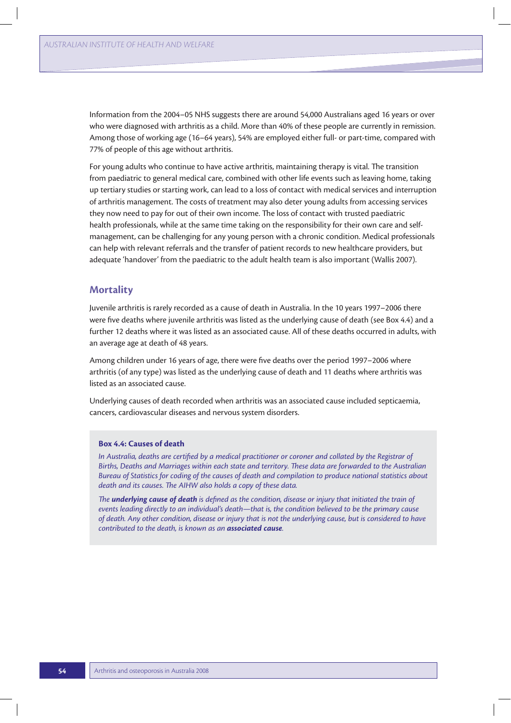Information from the 2004–05 NHS suggests there are around 54,000 Australians aged 16 years or over who were diagnosed with arthritis as a child. More than 40% of these people are currently in remission. Among those of working age (16–64 years), 54% are employed either full- or part-time, compared with 77% of people of this age without arthritis.

For young adults who continue to have active arthritis, maintaining therapy is vital. The transition from paediatric to general medical care, combined with other life events such as leaving home, taking up tertiary studies or starting work, can lead to a loss of contact with medical services and interruption of arthritis management. The costs of treatment may also deter young adults from accessing services they now need to pay for out of their own income. The loss of contact with trusted paediatric health professionals, while at the same time taking on the responsibility for their own care and selfmanagement, can be challenging for any young person with a chronic condition. Medical professionals can help with relevant referrals and the transfer of patient records to new healthcare providers, but adequate 'handover' from the paediatric to the adult health team is also important (Wallis 2007).

## **Mortality**

Juvenile arthritis is rarely recorded as a cause of death in Australia. In the 10 years 1997–2006 there were five deaths where juvenile arthritis was listed as the underlying cause of death (see Box 4.4) and a further 12 deaths where it was listed as an associated cause. All of these deaths occurred in adults, with an average age at death of 48 years.

Among children under 16 years of age, there were five deaths over the period 1997–2006 where arthritis (of any type) was listed as the underlying cause of death and 11 deaths where arthritis was listed as an associated cause.

Underlying causes of death recorded when arthritis was an associated cause included septicaemia, cancers, cardiovascular diseases and nervous system disorders.

#### **Box 4.4: Causes of death**

*In Australia, deaths are certified by a medical practitioner or coroner and collated by the Registrar of Births, Deaths and Marriages within each state and territory. These data are forwarded to the Australian Bureau of Statistics for coding of the causes of death and compilation to produce national statistics about death and its causes. The AIHW also holds a copy of these data.*

*The underlying cause of death is defined as the condition, disease or injury that initiated the train of events leading directly to an individual's death—that is, the condition believed to be the primary cause of death. Any other condition, disease or injury that is not the underlying cause, but is considered to have contributed to the death, is known as an associated cause.*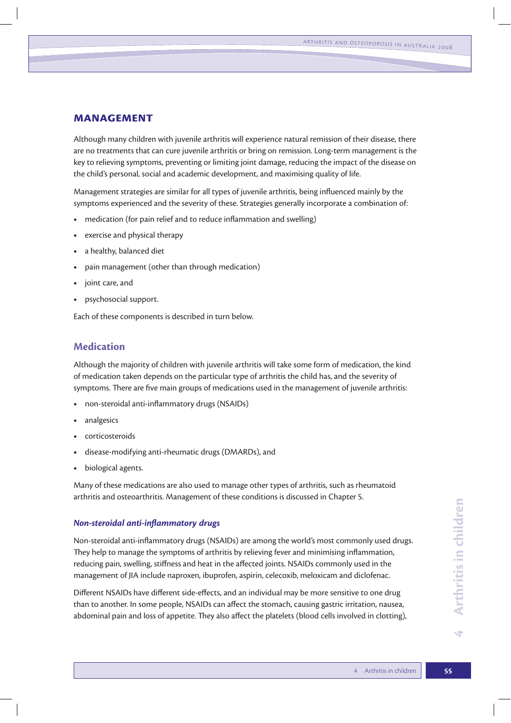# **Management**

Although many children with juvenile arthritis will experience natural remission of their disease, there are no treatments that can cure juvenile arthritis or bring on remission. Long-term management is the key to relieving symptoms, preventing or limiting joint damage, reducing the impact of the disease on the child's personal, social and academic development, and maximising quality of life.

Management strategies are similar for all types of juvenile arthritis, being influenced mainly by the symptoms experienced and the severity of these. Strategies generally incorporate a combination of:

- **t** medication (for pain relief and to reduce inflammation and swelling)
- exercise and physical therapy
- **t** a healthy, balanced diet
- pain management (other than through medication)
- **t** joint care, and
- **t** psychosocial support.

Each of these components is described in turn below.

## **Medication**

Although the majority of children with juvenile arthritis will take some form of medication, the kind of medication taken depends on the particular type of arthritis the child has, and the severity of symptoms. There are five main groups of medications used in the management of juvenile arthritis:

- **t** non-steroidal anti-inflammatory drugs (NSAIDs)
- **t** analgesics
- **t** corticosteroids
- **t** disease-modifying anti-rheumatic drugs (DMARDs), and
- **t** biological agents.

Many of these medications are also used to manage other types of arthritis, such as rheumatoid arthritis and osteoarthritis. Management of these conditions is discussed in Chapter 5.

#### *Non-steroidal anti-inflammatory drugs*

Non-steroidal anti-inflammatory drugs (NSAIDs) are among the world's most commonly used drugs. They help to manage the symptoms of arthritis by relieving fever and minimising inflammation, reducing pain, swelling, stiffness and heat in the affected joints. NSAIDs commonly used in the management of JIA include naproxen, ibuprofen, aspirin, celecoxib, meloxicam and diclofenac.

Different NSAIDs have different side-effects, and an individual may be more sensitive to one drug than to another. In some people, NSAIDs can affect the stomach, causing gastric irritation, nausea, abdominal pain and loss of appetite. They also affect the platelets (blood cells involved in clotting),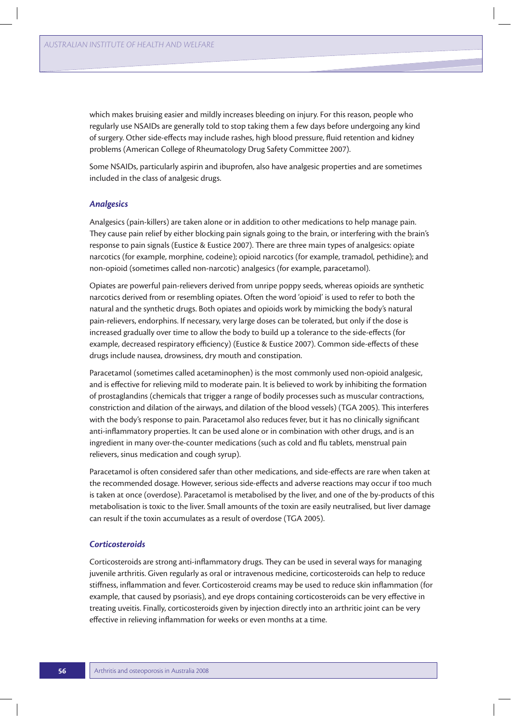which makes bruising easier and mildly increases bleeding on injury. For this reason, people who regularly use NSAIDs are generally told to stop taking them a few days before undergoing any kind of surgery. Other side-effects may include rashes, high blood pressure, fluid retention and kidney problems (American College of Rheumatology Drug Safety Committee 2007).

Some NSAIDs, particularly aspirin and ibuprofen, also have analgesic properties and are sometimes included in the class of analgesic drugs.

#### *Analgesics*

Analgesics (pain-killers) are taken alone or in addition to other medications to help manage pain. They cause pain relief by either blocking pain signals going to the brain, or interfering with the brain's response to pain signals (Eustice & Eustice 2007). There are three main types of analgesics: opiate narcotics (for example, morphine, codeine); opioid narcotics (for example, tramadol, pethidine); and non-opioid (sometimes called non-narcotic) analgesics (for example, paracetamol).

Opiates are powerful pain-relievers derived from unripe poppy seeds, whereas opioids are synthetic narcotics derived from or resembling opiates. Often the word 'opioid' is used to refer to both the natural and the synthetic drugs. Both opiates and opioids work by mimicking the body's natural pain-relievers, endorphins. If necessary, very large doses can be tolerated, but only if the dose is increased gradually over time to allow the body to build up a tolerance to the side-effects (for example, decreased respiratory efficiency) (Eustice & Eustice 2007). Common side-effects of these drugs include nausea, drowsiness, dry mouth and constipation.

Paracetamol (sometimes called acetaminophen) is the most commonly used non-opioid analgesic, and is effective for relieving mild to moderate pain. It is believed to work by inhibiting the formation of prostaglandins (chemicals that trigger a range of bodily processes such as muscular contractions, constriction and dilation of the airways, and dilation of the blood vessels) (TGA 2005). This interferes with the body's response to pain. Paracetamol also reduces fever, but it has no clinically significant anti-inflammatory properties. It can be used alone or in combination with other drugs, and is an ingredient in many over-the-counter medications (such as cold and flu tablets, menstrual pain relievers, sinus medication and cough syrup).

Paracetamol is often considered safer than other medications, and side-effects are rare when taken at the recommended dosage. However, serious side-effects and adverse reactions may occur if too much is taken at once (overdose). Paracetamol is metabolised by the liver, and one of the by-products of this metabolisation is toxic to the liver. Small amounts of the toxin are easily neutralised, but liver damage can result if the toxin accumulates as a result of overdose (TGA 2005).

#### *Corticosteroids*

Corticosteroids are strong anti-inflammatory drugs. They can be used in several ways for managing juvenile arthritis. Given regularly as oral or intravenous medicine, corticosteroids can help to reduce stiffness, inflammation and fever. Corticosteroid creams may be used to reduce skin inflammation (for example, that caused by psoriasis), and eye drops containing corticosteroids can be very effective in treating uveitis. Finally, corticosteroids given by injection directly into an arthritic joint can be very effective in relieving inflammation for weeks or even months at a time.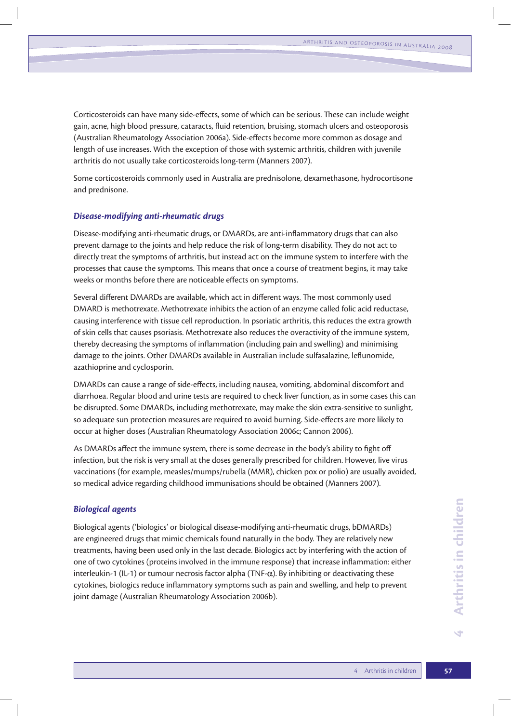Corticosteroids can have many side-effects, some of which can be serious. These can include weight gain, acne, high blood pressure, cataracts, fluid retention, bruising, stomach ulcers and osteoporosis (Australian Rheumatology Association 2006a). Side-effects become more common as dosage and length of use increases. With the exception of those with systemic arthritis, children with juvenile arthritis do not usually take corticosteroids long-term (Manners 2007).

Some corticosteroids commonly used in Australia are prednisolone, dexamethasone, hydrocortisone and prednisone.

#### *Disease-modifying anti-rheumatic drugs*

Disease-modifying anti-rheumatic drugs, or DMARDs, are anti-inflammatory drugs that can also prevent damage to the joints and help reduce the risk of long-term disability. They do not act to directly treat the symptoms of arthritis, but instead act on the immune system to interfere with the processes that cause the symptoms. This means that once a course of treatment begins, it may take weeks or months before there are noticeable effects on symptoms.

Several different DMARDs are available, which act in different ways. The most commonly used DMARD is methotrexate. Methotrexate inhibits the action of an enzyme called folic acid reductase, causing interference with tissue cell reproduction. In psoriatic arthritis, this reduces the extra growth of skin cells that causes psoriasis. Methotrexate also reduces the overactivity of the immune system, thereby decreasing the symptoms of inflammation (including pain and swelling) and minimising damage to the joints. Other DMARDs available in Australian include sulfasalazine, leflunomide, azathioprine and cyclosporin.

DMARDs can cause a range of side-effects, including nausea, vomiting, abdominal discomfort and diarrhoea. Regular blood and urine tests are required to check liver function, as in some cases this can be disrupted. Some DMARDs, including methotrexate, may make the skin extra-sensitive to sunlight, so adequate sun protection measures are required to avoid burning. Side-effects are more likely to occur at higher doses (Australian Rheumatology Association 2006c; Cannon 2006).

As DMARDs affect the immune system, there is some decrease in the body's ability to fight off infection, but the risk is very small at the doses generally prescribed for children. However, live virus vaccinations (for example, measles/mumps/rubella (MMR), chicken pox or polio) are usually avoided, so medical advice regarding childhood immunisations should be obtained (Manners 2007).

#### *Biological agents*

Biological agents ('biologics' or biological disease-modifying anti-rheumatic drugs, bDMARDs) are engineered drugs that mimic chemicals found naturally in the body. They are relatively new treatments, having been used only in the last decade. Biologics act by interfering with the action of one of two cytokines (proteins involved in the immune response) that increase inflammation: either interleukin-1 (IL-1) or tumour necrosis factor alpha (TNF- $\alpha$ ). By inhibiting or deactivating these cytokines, biologics reduce inflammatory symptoms such as pain and swelling, and help to prevent joint damage (Australian Rheumatology Association 2006b).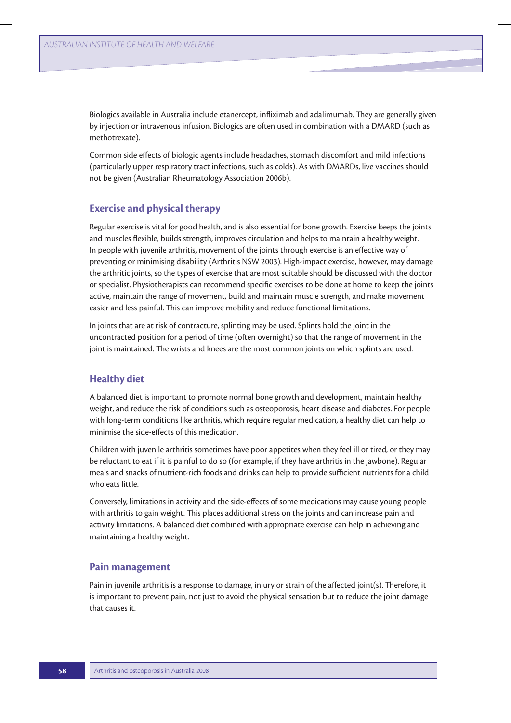Biologics available in Australia include etanercept, infliximab and adalimumab. They are generally given by injection or intravenous infusion. Biologics are often used in combination with a DMARD (such as methotrexate).

Common side effects of biologic agents include headaches, stomach discomfort and mild infections (particularly upper respiratory tract infections, such as colds). As with DMARDs, live vaccines should not be given (Australian Rheumatology Association 2006b).

# **Exercise and physical therapy**

Regular exercise is vital for good health, and is also essential for bone growth. Exercise keeps the joints and muscles flexible, builds strength, improves circulation and helps to maintain a healthy weight. In people with juvenile arthritis, movement of the joints through exercise is an effective way of preventing or minimising disability (Arthritis NSW 2003). High-impact exercise, however, may damage the arthritic joints, so the types of exercise that are most suitable should be discussed with the doctor or specialist. Physiotherapists can recommend specific exercises to be done at home to keep the joints active, maintain the range of movement, build and maintain muscle strength, and make movement easier and less painful. This can improve mobility and reduce functional limitations.

In joints that are at risk of contracture, splinting may be used. Splints hold the joint in the uncontracted position for a period of time (often overnight) so that the range of movement in the joint is maintained. The wrists and knees are the most common joints on which splints are used.

# **Healthy diet**

A balanced diet is important to promote normal bone growth and development, maintain healthy weight, and reduce the risk of conditions such as osteoporosis, heart disease and diabetes. For people with long-term conditions like arthritis, which require regular medication, a healthy diet can help to minimise the side-effects of this medication.

Children with juvenile arthritis sometimes have poor appetites when they feel ill or tired, or they may be reluctant to eat if it is painful to do so (for example, if they have arthritis in the jawbone). Regular meals and snacks of nutrient-rich foods and drinks can help to provide sufficient nutrients for a child who eats little.

Conversely, limitations in activity and the side-effects of some medications may cause young people with arthritis to gain weight. This places additional stress on the joints and can increase pain and activity limitations. A balanced diet combined with appropriate exercise can help in achieving and maintaining a healthy weight.

## **Pain management**

Pain in juvenile arthritis is a response to damage, injury or strain of the affected joint(s). Therefore, it is important to prevent pain, not just to avoid the physical sensation but to reduce the joint damage that causes it.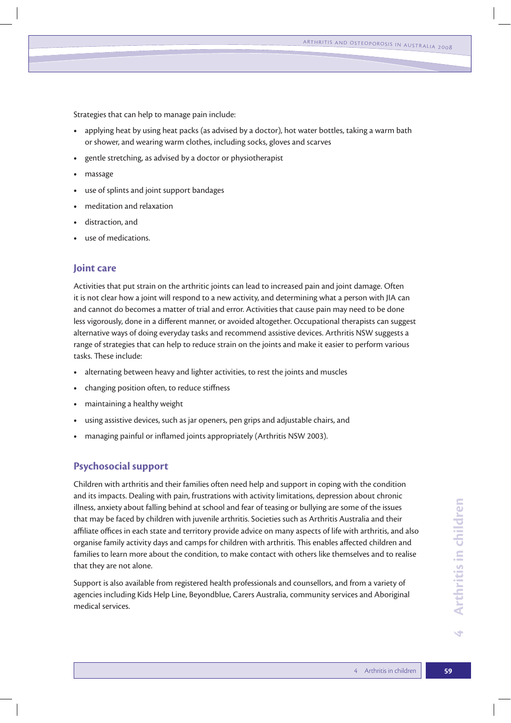Strategies that can help to manage pain include:

- **t** applying heat by using heat packs (as advised by a doctor), hot water bottles, taking a warm bath or shower, and wearing warm clothes, including socks, gloves and scarves
- **t** gentle stretching, as advised by a doctor or physiotherapist
- **t** massage
- use of splints and joint support bandages
- **t** meditation and relaxation
- **t** distraction, and
- **t** use of medications.

# **Joint care**

Activities that put strain on the arthritic joints can lead to increased pain and joint damage. Often it is not clear how a joint will respond to a new activity, and determining what a person with JIA can and cannot do becomes a matter of trial and error. Activities that cause pain may need to be done less vigorously, done in a different manner, or avoided altogether. Occupational therapists can suggest alternative ways of doing everyday tasks and recommend assistive devices. Arthritis NSW suggests a range of strategies that can help to reduce strain on the joints and make it easier to perform various tasks. These include:

- **t** alternating between heavy and lighter activities, to rest the joints and muscles
- **t** changing position often, to reduce stiffness
- **t** maintaining a healthy weight
- using assistive devices, such as jar openers, pen grips and adjustable chairs, and
- managing painful or inflamed joints appropriately (Arthritis NSW 2003).

## **Psychosocial support**

Children with arthritis and their families often need help and support in coping with the condition and its impacts. Dealing with pain, frustrations with activity limitations, depression about chronic illness, anxiety about falling behind at school and fear of teasing or bullying are some of the issues that may be faced by children with juvenile arthritis. Societies such as Arthritis Australia and their affiliate offices in each state and territory provide advice on many aspects of life with arthritis, and also organise family activity days and camps for children with arthritis. This enables affected children and families to learn more about the condition, to make contact with others like themselves and to realise that they are not alone.

Support is also available from registered health professionals and counsellors, and from a variety of agencies including Kids Help Line, Beyondblue, Carers Australia, community services and Aboriginal medical services.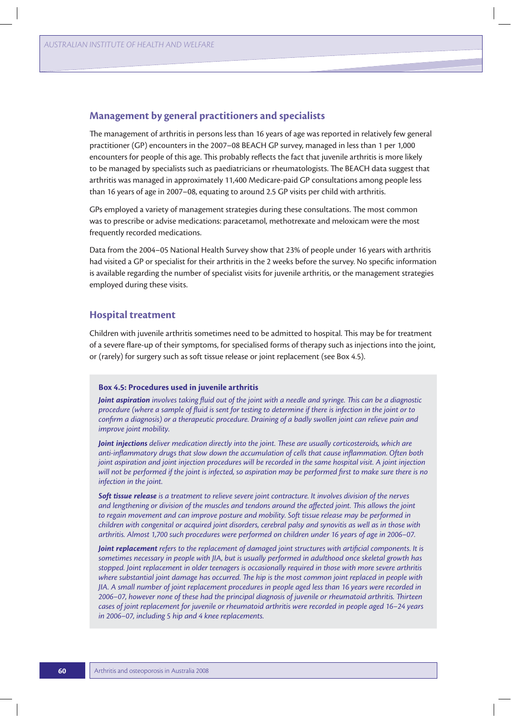## **Management by general practitioners and specialists**

The management of arthritis in persons less than 16 years of age was reported in relatively few general practitioner (GP) encounters in the 2007–08 BEACH GP survey, managed in less than 1 per 1,000 encounters for people of this age. This probably reflects the fact that juvenile arthritis is more likely to be managed by specialists such as paediatricians or rheumatologists. The BEACH data suggest that arthritis was managed in approximately 11,400 Medicare-paid GP consultations among people less than 16 years of age in 2007–08, equating to around 2.5 GP visits per child with arthritis.

GPs employed a variety of management strategies during these consultations. The most common was to prescribe or advise medications: paracetamol, methotrexate and meloxicam were the most frequently recorded medications.

Data from the 2004–05 National Health Survey show that 23% of people under 16 years with arthritis had visited a GP or specialist for their arthritis in the 2 weeks before the survey. No specific information is available regarding the number of specialist visits for juvenile arthritis, or the management strategies employed during these visits.

## **Hospital treatment**

Children with juvenile arthritis sometimes need to be admitted to hospital. This may be for treatment of a severe flare-up of their symptoms, for specialised forms of therapy such as injections into the joint, or (rarely) for surgery such as soft tissue release or joint replacement (see Box 4.5).

#### **Box 4.5: Procedures used in juvenile arthritis**

*Joint aspiration involves taking fluid out of the joint with a needle and syringe. This can be a diagnostic procedure (where a sample of fluid is sent for testing to determine if there is infection in the joint or to confirm a diagnosis) or a therapeutic procedure. Draining of a badly swollen joint can relieve pain and improve joint mobility.* 

*Joint injections deliver medication directly into the joint. These are usually corticosteroids, which are anti-inflammatory drugs that slow down the accumulation of cells that cause inflammation. Often both joint aspiration and joint injection procedures will be recorded in the same hospital visit. A joint injection will not be performed if the joint is infected, so aspiration may be performed first to make sure there is no infection in the joint.*

*Soft tissue release is a treatment to relieve severe joint contracture. It involves division of the nerves and lengthening or division of the muscles and tendons around the affected joint. This allows the joint to regain movement and can improve posture and mobility. Soft tissue release may be performed in children with congenital or acquired joint disorders, cerebral palsy and synovitis as well as in those with arthritis. Almost 1,700 such procedures were performed on children under 16 years of age in 2006–07.* 

*Joint replacement refers to the replacement of damaged joint structures with artificial components. It is sometimes necessary in people with JIA, but is usually performed in adulthood once skeletal growth has stopped. Joint replacement in older teenagers is occasionally required in those with more severe arthritis where substantial joint damage has occurred. The hip is the most common joint replaced in people with JIA. A small number of joint replacement procedures in people aged less than 16 years were recorded in 2006–07, however none of these had the principal diagnosis of juvenile or rheumatoid arthritis. Thirteen cases of joint replacement for juvenile or rheumatoid arthritis were recorded in people aged 16–24 years in 2006–07, including 5 hip and 4 knee replacements.*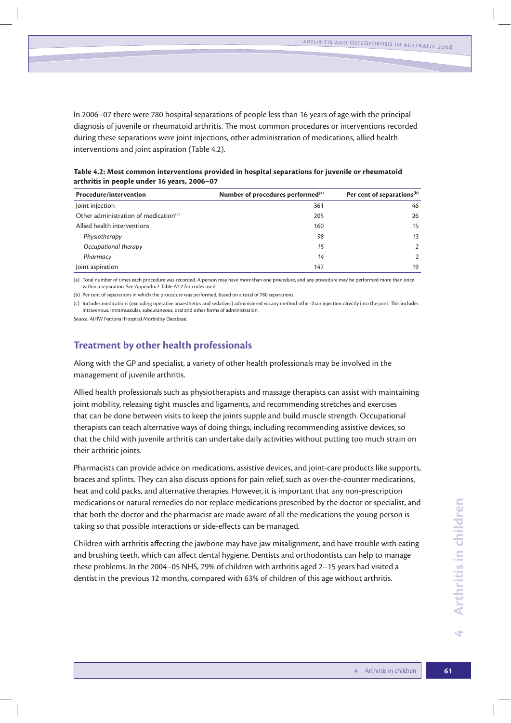In 2006–07 there were 780 hospital separations of people less than 16 years of age with the principal diagnosis of juvenile or rheumatoid arthritis. The most common procedures or interventions recorded during these separations were joint injections, other administration of medications, allied health interventions and joint aspiration (Table 4.2).

**Table 4.2: Most common interventions provided in hospital separations for juvenile or rheumatoid arthritis in people under 16 years, 2006–07**

| <b>Procedure/intervention</b>                     | Number of procedures performed <sup>(a)</sup> | Per cent of separations <sup>(b)</sup> |
|---------------------------------------------------|-----------------------------------------------|----------------------------------------|
| Joint injection                                   | 361                                           | 46                                     |
| Other administration of medication <sup>(c)</sup> | 205                                           | 26                                     |
| Allied health interventions                       | 160                                           | 15                                     |
| Physiotherapy                                     | 98                                            | 13                                     |
| Occupational therapy                              | 15                                            | $\mathcal{P}$                          |
| Pharmacy                                          | 14                                            | $\overline{2}$                         |
| Joint aspiration                                  | 147                                           | 19                                     |

(a) Total number of times each procedure was recorded. A person may have more than one procedure, and any procedure may be performed more than once within a separation. See Appendix 2 Table A2.2 for codes used.

(b) Per cent of separations in which the procedure was performed, based on a total of 780 separations.

(c) Includes medications (excluding operative anaesthetics and sedatives) administered via any method other than injection directly into the joint. This includes intravenous, intramuscular, subcutaneous, oral and other forms of administration.

*Source:* AIHW National Hospital Morbidity Database.

# **Treatment by other health professionals**

Along with the GP and specialist, a variety of other health professionals may be involved in the management of juvenile arthritis.

Allied health professionals such as physiotherapists and massage therapists can assist with maintaining joint mobility, releasing tight muscles and ligaments, and recommending stretches and exercises that can be done between visits to keep the joints supple and build muscle strength. Occupational therapists can teach alternative ways of doing things, including recommending assistive devices, so that the child with juvenile arthritis can undertake daily activities without putting too much strain on their arthritic joints.

Pharmacists can provide advice on medications, assistive devices, and joint-care products like supports, braces and splints. They can also discuss options for pain relief, such as over-the-counter medications, heat and cold packs, and alternative therapies. However, it is important that any non-prescription medications or natural remedies do not replace medications prescribed by the doctor or specialist, and that both the doctor and the pharmacist are made aware of all the medications the young person is taking so that possible interactions or side-effects can be managed.

Children with arthritis affecting the jawbone may have jaw misalignment, and have trouble with eating and brushing teeth, which can affect dental hygiene. Dentists and orthodontists can help to manage these problems. In the 2004–05 NHS, 79% of children with arthritis aged 2–15 years had visited a dentist in the previous 12 months, compared with 63% of children of this age without arthritis.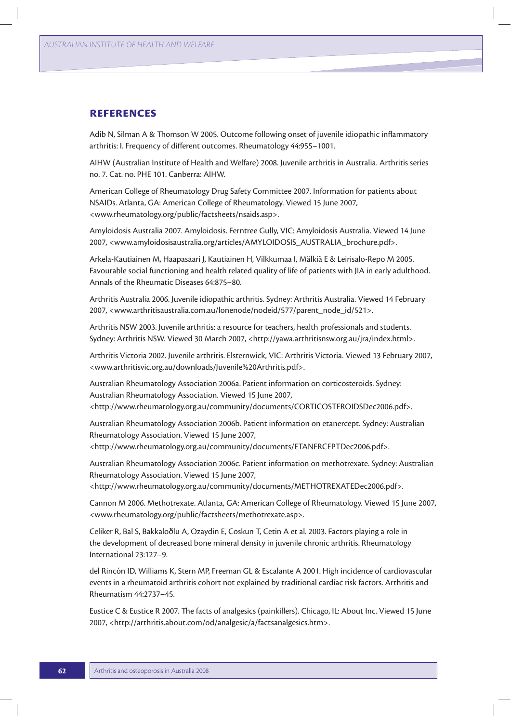## **References**

Adib N, Silman A & Thomson W 2005. Outcome following onset of juvenile idiopathic inflammatory arthritis: I. Frequency of different outcomes. Rheumatology 44:955–1001.

AIHW (Australian Institute of Health and Welfare) 2008. Juvenile arthritis in Australia. Arthritis series no. 7. Cat. no. PHE 101. Canberra: AIHW.

American College of Rheumatology Drug Safety Committee 2007. Information for patients about NSAIDs. Atlanta, GA: American College of Rheumatology. Viewed 15 June 2007, <www.rheumatology.org/public/factsheets/nsaids.asp>.

Amyloidosis Australia 2007. Amyloidosis. Ferntree Gully, VIC: Amyloidosis Australia. Viewed 14 June 2007, <www.amyloidosisaustralia.org/articles/AMYLOIDOSIS\_AUSTRALIA\_brochure.pdf>.

Arkela-Kautiainen M, Haapasaari J, Kautiainen H, Vilkkumaa I, Mälkiä E & Leirisalo-Repo M 2005. Favourable social functioning and health related quality of life of patients with JIA in early adulthood. Annals of the Rheumatic Diseases 64:875–80.

Arthritis Australia 2006. Juvenile idiopathic arthritis. Sydney: Arthritis Australia. Viewed 14 February 2007, <www.arthritisaustralia.com.au/lonenode/nodeid/577/parent\_node\_id/521>.

Arthritis NSW 2003. Juvenile arthritis: a resource for teachers, health professionals and students. Sydney: Arthritis NSW. Viewed 30 March 2007, <http://yawa.arthritisnsw.org.au/jra/index.html>.

Arthritis Victoria 2002. Juvenile arthritis. Elsternwick, VIC: Arthritis Victoria. Viewed 13 February 2007, <www.arthritisvic.org.au/downloads/Juvenile%20Arthritis.pdf>.

Australian Rheumatology Association 2006a. Patient information on corticosteroids. Sydney: Australian Rheumatology Association. Viewed 15 June 2007, <http://www.rheumatology.org.au/community/documents/CORTICOSTEROIDSDec2006.pdf>.

Australian Rheumatology Association 2006b. Patient information on etanercept. Sydney: Australian Rheumatology Association. Viewed 15 June 2007, <http://www.rheumatology.org.au/community/documents/ETANERCEPTDec2006.pdf>.

Australian Rheumatology Association 2006c. Patient information on methotrexate. Sydney: Australian Rheumatology Association. Viewed 15 June 2007,

<http://www.rheumatology.org.au/community/documents/METHOTREXATEDec2006.pdf>.

Cannon M 2006. Methotrexate. Atlanta, GA: American College of Rheumatology. Viewed 15 June 2007, <www.rheumatology.org/public/factsheets/methotrexate.asp>.

Celiker R, Bal S, Bakkaloðlu A, Ozaydin E, Coskun T, Cetin A et al. 2003. Factors playing a role in the development of decreased bone mineral density in juvenile chronic arthritis. Rheumatology International 23:127–9.

del Rincón ID, Williams K, Stern MP, Freeman GL & Escalante A 2001. High incidence of cardiovascular events in a rheumatoid arthritis cohort not explained by traditional cardiac risk factors. Arthritis and Rheumatism 44:2737–45.

Eustice C & Eustice R 2007. The facts of analgesics (painkillers). Chicago, IL: About Inc. Viewed 15 June 2007, <http://arthritis.about.com/od/analgesic/a/factsanalgesics.htm>.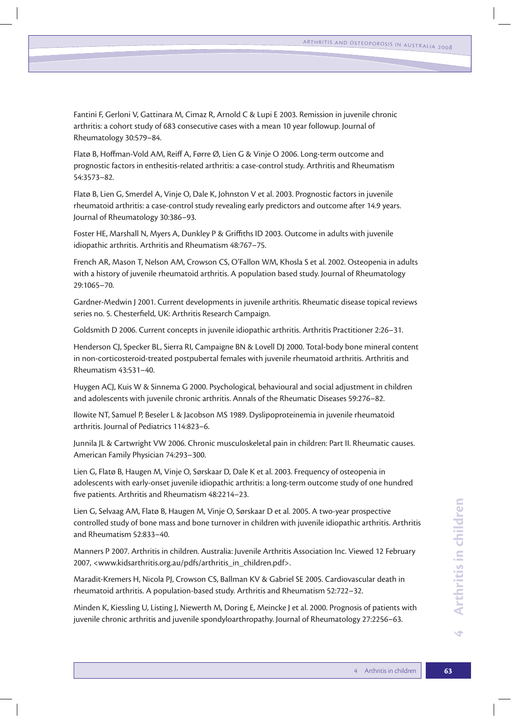Fantini F, Gerloni V, Gattinara M, Cimaz R, Arnold C & Lupi E 2003. Remission in juvenile chronic arthritis: a cohort study of 683 consecutive cases with a mean 10 year followup. Journal of Rheumatology 30:579–84.

Flatø B, Hoffman-Vold AM, Reiff A, Førre Ø, Lien G & Vinje O 2006. Long-term outcome and prognostic factors in enthesitis-related arthritis: a case-control study. Arthritis and Rheumatism 54:3573–82.

Flatø B, Lien G, Smerdel A, Vinje O, Dale K, Johnston V et al. 2003. Prognostic factors in juvenile rheumatoid arthritis: a case-control study revealing early predictors and outcome after 14.9 years. Journal of Rheumatology 30:386–93.

Foster HE, Marshall N, Myers A, Dunkley P & Griffiths ID 2003. Outcome in adults with juvenile idiopathic arthritis. Arthritis and Rheumatism 48:767–75.

French AR, Mason T, Nelson AM, Crowson CS, O'Fallon WM, Khosla S et al. 2002. Osteopenia in adults with a history of juvenile rheumatoid arthritis. A population based study. Journal of Rheumatology 29:1065–70.

Gardner-Medwin J 2001. Current developments in juvenile arthritis. Rheumatic disease topical reviews series no. 5. Chesterfield, UK: Arthritis Research Campaign.

Goldsmith D 2006. Current concepts in juvenile idiopathic arthritis. Arthritis Practitioner 2:26–31.

Henderson CJ, Specker BL, Sierra RI, Campaigne BN & Lovell DJ 2000. Total-body bone mineral content in non-corticosteroid-treated postpubertal females with juvenile rheumatoid arthritis. Arthritis and Rheumatism 43:531–40.

Huygen ACJ, Kuis W & Sinnema G 2000. Psychological, behavioural and social adjustment in children and adolescents with juvenile chronic arthritis. Annals of the Rheumatic Diseases 59:276–82.

Ilowite NT, Samuel P, Beseler L & Jacobson MS 1989. Dyslipoproteinemia in juvenile rheumatoid arthritis. Journal of Pediatrics 114:823–6.

Junnila JL & Cartwright VW 2006. Chronic musculoskeletal pain in children: Part II. Rheumatic causes. American Family Physician 74:293–300.

Lien G, Flatø B, Haugen M, Vinje O, Sørskaar D, Dale K et al. 2003. Frequency of osteopenia in adolescents with early-onset juvenile idiopathic arthritis: a long-term outcome study of one hundred five patients. Arthritis and Rheumatism 48:2214–23.

Lien G, Selvaag AM, Flatø B, Haugen M, Vinje O, Sørskaar D et al. 2005. A two-year prospective controlled study of bone mass and bone turnover in children with juvenile idiopathic arthritis. Arthritis and Rheumatism 52:833–40.

Manners P 2007. Arthritis in children. Australia: Juvenile Arthritis Association Inc. Viewed 12 February 2007, <www.kidsarthritis.org.au/pdfs/arthritis\_in\_children.pdf>.

Maradit-Kremers H, Nicola PJ, Crowson CS, Ballman KV & Gabriel SE 2005. Cardiovascular death in rheumatoid arthritis. A population-based study. Arthritis and Rheumatism 52:722–32.

Minden K, Kiessling U, Listing J, Niewerth M, Doring E, Meincke J et al. 2000. Prognosis of patients with juvenile chronic arthritis and juvenile spondyloarthropathy. Journal of Rheumatology 27:2256–63.